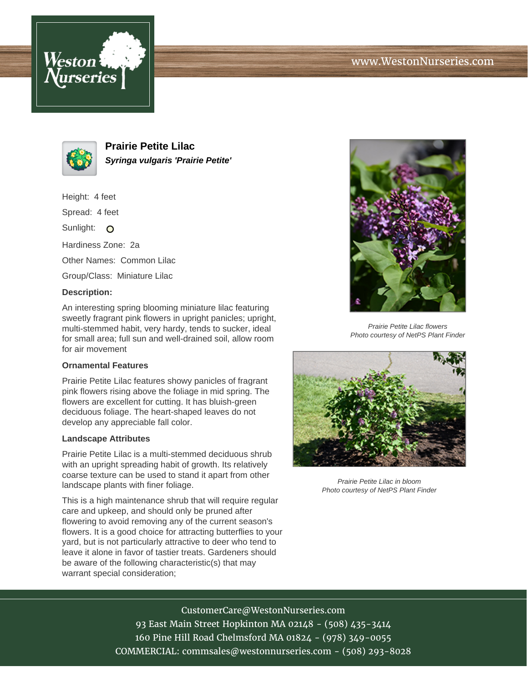



**Prairie Petite Lilac Syringa vulgaris 'Prairie Petite'**

Height: 4 feet Spread: 4 feet Sunlight: O Hardiness Zone: 2a Other Names: Common Lilac Group/Class: Miniature Lilac **Description:**

An interesting spring blooming miniature lilac featuring sweetly fragrant pink flowers in upright panicles; upright, multi-stemmed habit, very hardy, tends to sucker, ideal for small area; full sun and well-drained soil, allow room for air movement

## **Ornamental Features**

Prairie Petite Lilac features showy panicles of fragrant pink flowers rising above the foliage in mid spring. The flowers are excellent for cutting. It has bluish-green deciduous foliage. The heart-shaped leaves do not develop any appreciable fall color.

## **Landscape Attributes**

Prairie Petite Lilac is a multi-stemmed deciduous shrub with an upright spreading habit of growth. Its relatively coarse texture can be used to stand it apart from other landscape plants with finer foliage.

This is a high maintenance shrub that will require regular care and upkeep, and should only be pruned after flowering to avoid removing any of the current season's flowers. It is a good choice for attracting butterflies to your yard, but is not particularly attractive to deer who tend to leave it alone in favor of tastier treats. Gardeners should be aware of the following characteristic(s) that may warrant special consideration;



Prairie Petite Lilac flowers Photo courtesy of NetPS Plant Finder



Prairie Petite Lilac in bloom Photo courtesy of NetPS Plant Finder

## CustomerCare@WestonNurseries.com 93 East Main Street Hopkinton MA 02148 - (508) 435-3414 160 Pine Hill Road Chelmsford MA 01824 - (978) 349-0055 COMMERCIAL: commsales@westonnurseries.com - (508) 293-8028